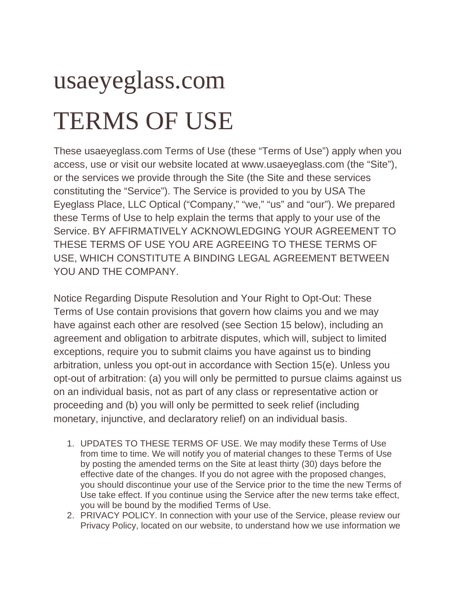## usaeyeglass.com TERMS OF USE

These usaeyeglass.com Terms of Use (these "Terms of Use") apply when you access, use or visit our website located at www.usaeyeglass.com (the "Site"), or the services we provide through the Site (the Site and these services constituting the "Service"). The Service is provided to you by USA The Eyeglass Place, LLC Optical ("Company," "we," "us" and "our"). We prepared these Terms of Use to help explain the terms that apply to your use of the Service. BY AFFIRMATIVELY ACKNOWLEDGING YOUR AGREEMENT TO THESE TERMS OF USE YOU ARE AGREEING TO THESE TERMS OF USE, WHICH CONSTITUTE A BINDING LEGAL AGREEMENT BETWEEN YOU AND THE COMPANY.

Notice Regarding Dispute Resolution and Your Right to Opt-Out: These Terms of Use contain provisions that govern how claims you and we may have against each other are resolved (see Section 15 below), including an agreement and obligation to arbitrate disputes, which will, subject to limited exceptions, require you to submit claims you have against us to binding arbitration, unless you opt-out in accordance with Section 15(e). Unless you opt-out of arbitration: (a) you will only be permitted to pursue claims against us on an individual basis, not as part of any class or representative action or proceeding and (b) you will only be permitted to seek relief (including monetary, injunctive, and declaratory relief) on an individual basis.

- 1. UPDATES TO THESE TERMS OF USE. We may modify these Terms of Use from time to time. We will notify you of material changes to these Terms of Use by posting the amended terms on the Site at least thirty (30) days before the effective date of the changes. If you do not agree with the proposed changes, you should discontinue your use of the Service prior to the time the new Terms of Use take effect. If you continue using the Service after the new terms take effect, you will be bound by the modified Terms of Use.
- 2. PRIVACY POLICY. In connection with your use of the Service, please review our Privacy Policy, located on our website, to understand how we use information we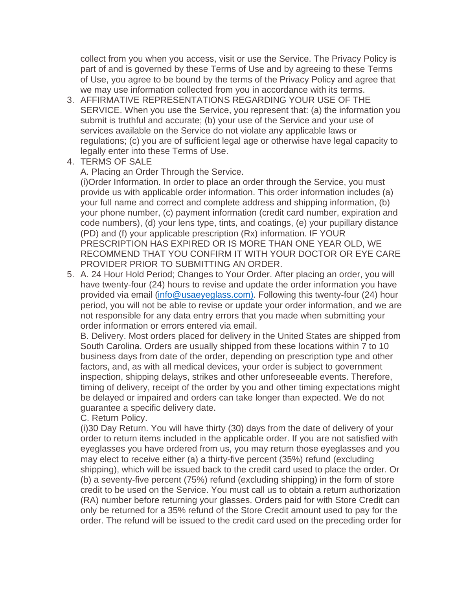collect from you when you access, visit or use the Service. The Privacy Policy is part of and is governed by these Terms of Use and by agreeing to these Terms of Use, you agree to be bound by the terms of the Privacy Policy and agree that we may use information collected from you in accordance with its terms.

- 3. AFFIRMATIVE REPRESENTATIONS REGARDING YOUR USE OF THE SERVICE. When you use the Service, you represent that: (a) the information you submit is truthful and accurate; (b) your use of the Service and your use of services available on the Service do not violate any applicable laws or regulations; (c) you are of sufficient legal age or otherwise have legal capacity to legally enter into these Terms of Use.
- 4. TERMS OF SALE

A. Placing an Order Through the Service.

(i)Order Information. In order to place an order through the Service, you must provide us with applicable order information. This order information includes (a) your full name and correct and complete address and shipping information, (b) your phone number, (c) payment information (credit card number, expiration and code numbers), (d) your lens type, tints, and coatings, (e) your pupillary distance (PD) and (f) your applicable prescription (Rx) information. IF YOUR PRESCRIPTION HAS EXPIRED OR IS MORE THAN ONE YEAR OLD, WE RECOMMEND THAT YOU CONFIRM IT WITH YOUR DOCTOR OR EYE CARE PROVIDER PRIOR TO SUBMITTING AN ORDER.

5. A. 24 Hour Hold Period; Changes to Your Order. After placing an order, you will have twenty-four (24) hours to revise and update the order information you have provided via email [\(info@usaeyeglass.com\).](mailto:info@usaeyeglass.com)) Following this twenty-four (24) hour period, you will not be able to revise or update your order information, and we are not responsible for any data entry errors that you made when submitting your order information or errors entered via email.

B. Delivery. Most orders placed for delivery in the United States are shipped from South Carolina. Orders are usually shipped from these locations within 7 to 10 business days from date of the order, depending on prescription type and other factors, and, as with all medical devices, your order is subject to government inspection, shipping delays, strikes and other unforeseeable events. Therefore, timing of delivery, receipt of the order by you and other timing expectations might be delayed or impaired and orders can take longer than expected. We do not guarantee a specific delivery date.

C. Return Policy.

(i)30 Day Return. You will have thirty (30) days from the date of delivery of your order to return items included in the applicable order. If you are not satisfied with eyeglasses you have ordered from us, you may return those eyeglasses and you may elect to receive either (a) a thirty-five percent (35%) refund (excluding shipping), which will be issued back to the credit card used to place the order. Or (b) a seventy-five percent (75%) refund (excluding shipping) in the form of store credit to be used on the Service. You must call us to obtain a return authorization (RA) number before returning your glasses. Orders paid for with Store Credit can only be returned for a 35% refund of the Store Credit amount used to pay for the order. The refund will be issued to the credit card used on the preceding order for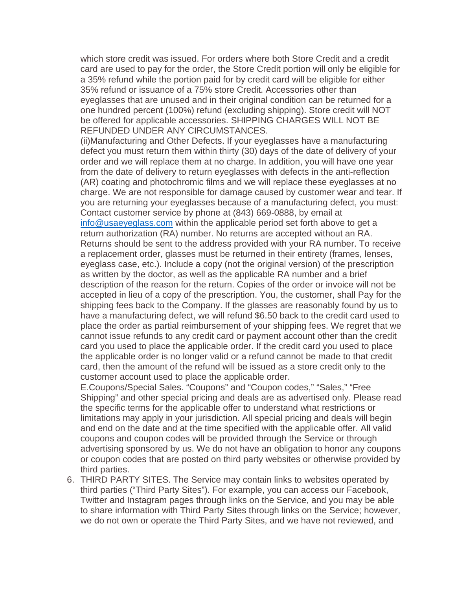which store credit was issued. For orders where both Store Credit and a credit card are used to pay for the order, the Store Credit portion will only be eligible for a 35% refund while the portion paid for by credit card will be eligible for either 35% refund or issuance of a 75% store Credit. Accessories other than eyeglasses that are unused and in their original condition can be returned for a one hundred percent (100%) refund (excluding shipping). Store credit will NOT be offered for applicable accessories. SHIPPING CHARGES WILL NOT BE REFUNDED UNDER ANY CIRCUMSTANCES.

(ii)Manufacturing and Other Defects. If your eyeglasses have a manufacturing defect you must return them within thirty (30) days of the date of delivery of your order and we will replace them at no charge. In addition, you will have one year from the date of delivery to return eyeglasses with defects in the anti-reflection (AR) coating and photochromic films and we will replace these eyeglasses at no charge. We are not responsible for damage caused by customer wear and tear. If you are returning your eyeglasses because of a manufacturing defect, you must: Contact customer service by phone at (843) 669-0888, by email at [info@usaeyeglass.com](mailto:info@usaeyeglass.com) within the applicable period set forth above to get a return authorization (RA) number. No returns are accepted without an RA. Returns should be sent to the address provided with your RA number. To receive a replacement order, glasses must be returned in their entirety (frames, lenses, eyeglass case, etc.). Include a copy (not the original version) of the prescription as written by the doctor, as well as the applicable RA number and a brief description of the reason for the return. Copies of the order or invoice will not be accepted in lieu of a copy of the prescription. You, the customer, shall Pay for the shipping fees back to the Company. If the glasses are reasonably found by us to have a manufacturing defect, we will refund \$6.50 back to the credit card used to place the order as partial reimbursement of your shipping fees. We regret that we cannot issue refunds to any credit card or payment account other than the credit card you used to place the applicable order. If the credit card you used to place the applicable order is no longer valid or a refund cannot be made to that credit card, then the amount of the refund will be issued as a store credit only to the customer account used to place the applicable order.

E.Coupons/Special Sales. "Coupons" and "Coupon codes," "Sales," "Free Shipping" and other special pricing and deals are as advertised only. Please read the specific terms for the applicable offer to understand what restrictions or limitations may apply in your jurisdiction. All special pricing and deals will begin and end on the date and at the time specified with the applicable offer. All valid coupons and coupon codes will be provided through the Service or through advertising sponsored by us. We do not have an obligation to honor any coupons or coupon codes that are posted on third party websites or otherwise provided by third parties.

6. THIRD PARTY SITES. The Service may contain links to websites operated by third parties ("Third Party Sites"). For example, you can access our Facebook, Twitter and Instagram pages through links on the Service, and you may be able to share information with Third Party Sites through links on the Service; however, we do not own or operate the Third Party Sites, and we have not reviewed, and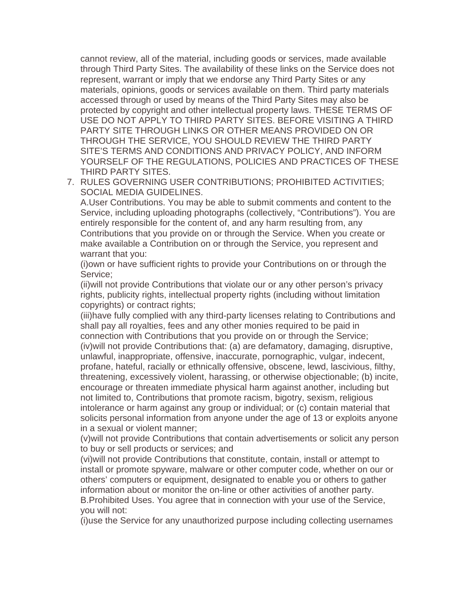cannot review, all of the material, including goods or services, made available through Third Party Sites. The availability of these links on the Service does not represent, warrant or imply that we endorse any Third Party Sites or any materials, opinions, goods or services available on them. Third party materials accessed through or used by means of the Third Party Sites may also be protected by copyright and other intellectual property laws. THESE TERMS OF USE DO NOT APPLY TO THIRD PARTY SITES. BEFORE VISITING A THIRD PARTY SITE THROUGH LINKS OR OTHER MEANS PROVIDED ON OR THROUGH THE SERVICE, YOU SHOULD REVIEW THE THIRD PARTY SITE'S TERMS AND CONDITIONS AND PRIVACY POLICY, AND INFORM YOURSELF OF THE REGULATIONS, POLICIES AND PRACTICES OF THESE THIRD PARTY SITES.

7. RULES GOVERNING USER CONTRIBUTIONS; PROHIBITED ACTIVITIES; SOCIAL MEDIA GUIDELINES.

A.User Contributions. You may be able to submit comments and content to the Service, including uploading photographs (collectively, "Contributions"). You are entirely responsible for the content of, and any harm resulting from, any Contributions that you provide on or through the Service. When you create or make available a Contribution on or through the Service, you represent and warrant that you:

(i)own or have sufficient rights to provide your Contributions on or through the Service;

(ii)will not provide Contributions that violate our or any other person's privacy rights, publicity rights, intellectual property rights (including without limitation copyrights) or contract rights;

(iii)have fully complied with any third-party licenses relating to Contributions and shall pay all royalties, fees and any other monies required to be paid in connection with Contributions that you provide on or through the Service; (iv)will not provide Contributions that: (a) are defamatory, damaging, disruptive, unlawful, inappropriate, offensive, inaccurate, pornographic, vulgar, indecent, profane, hateful, racially or ethnically offensive, obscene, lewd, lascivious, filthy, threatening, excessively violent, harassing, or otherwise objectionable; (b) incite, encourage or threaten immediate physical harm against another, including but not limited to, Contributions that promote racism, bigotry, sexism, religious intolerance or harm against any group or individual; or (c) contain material that solicits personal information from anyone under the age of 13 or exploits anyone in a sexual or violent manner;

(v)will not provide Contributions that contain advertisements or solicit any person to buy or sell products or services; and

(vi)will not provide Contributions that constitute, contain, install or attempt to install or promote spyware, malware or other computer code, whether on our or others' computers or equipment, designated to enable you or others to gather information about or monitor the on-line or other activities of another party. B.Prohibited Uses. You agree that in connection with your use of the Service, you will not:

(i)use the Service for any unauthorized purpose including collecting usernames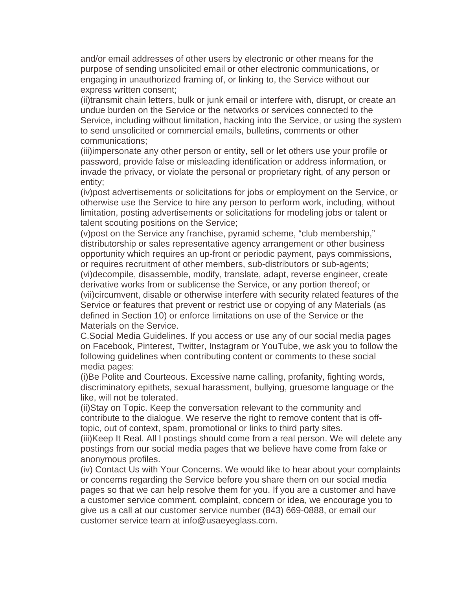and/or email addresses of other users by electronic or other means for the purpose of sending unsolicited email or other electronic communications, or engaging in unauthorized framing of, or linking to, the Service without our express written consent;

(ii)transmit chain letters, bulk or junk email or interfere with, disrupt, or create an undue burden on the Service or the networks or services connected to the Service, including without limitation, hacking into the Service, or using the system to send unsolicited or commercial emails, bulletins, comments or other communications;

(iii)impersonate any other person or entity, sell or let others use your profile or password, provide false or misleading identification or address information, or invade the privacy, or violate the personal or proprietary right, of any person or entity;

(iv)post advertisements or solicitations for jobs or employment on the Service, or otherwise use the Service to hire any person to perform work, including, without limitation, posting advertisements or solicitations for modeling jobs or talent or talent scouting positions on the Service;

(v)post on the Service any franchise, pyramid scheme, "club membership," distributorship or sales representative agency arrangement or other business opportunity which requires an up-front or periodic payment, pays commissions, or requires recruitment of other members, sub-distributors or sub-agents; (vi)decompile, disassemble, modify, translate, adapt, reverse engineer, create derivative works from or sublicense the Service, or any portion thereof; or (vii)circumvent, disable or otherwise interfere with security related features of the Service or features that prevent or restrict use or copying of any Materials (as defined in Section 10) or enforce limitations on use of the Service or the Materials on the Service.

C.Social Media Guidelines. If you access or use any of our social media pages on Facebook, Pinterest, Twitter, Instagram or YouTube, we ask you to follow the following guidelines when contributing content or comments to these social media pages:

(i)Be Polite and Courteous. Excessive name calling, profanity, fighting words, discriminatory epithets, sexual harassment, bullying, gruesome language or the like, will not be tolerated.

(ii)Stay on Topic. Keep the conversation relevant to the community and contribute to the dialogue. We reserve the right to remove content that is offtopic, out of context, spam, promotional or links to third party sites.

(iii)Keep It Real. All l postings should come from a real person. We will delete any postings from our social media pages that we believe have come from fake or anonymous profiles.

(iv) Contact Us with Your Concerns. We would like to hear about your complaints or concerns regarding the Service before you share them on our social media pages so that we can help resolve them for you. If you are a customer and have a customer service comment, complaint, concern or idea, we encourage you to give us a call at our customer service number (843) 669-0888, or email our customer service team at info@usaeyeglass.com.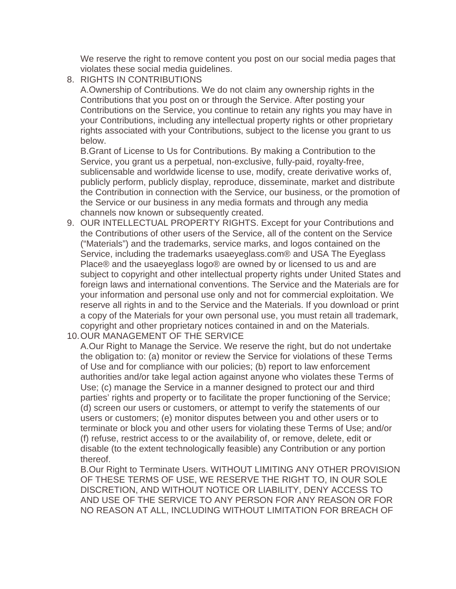We reserve the right to remove content you post on our social media pages that violates these social media guidelines.

8. RIGHTS IN CONTRIBUTIONS

A.Ownership of Contributions. We do not claim any ownership rights in the Contributions that you post on or through the Service. After posting your Contributions on the Service, you continue to retain any rights you may have in your Contributions, including any intellectual property rights or other proprietary rights associated with your Contributions, subject to the license you grant to us below.

B.Grant of License to Us for Contributions. By making a Contribution to the Service, you grant us a perpetual, non-exclusive, fully-paid, royalty-free, sublicensable and worldwide license to use, modify, create derivative works of, publicly perform, publicly display, reproduce, disseminate, market and distribute the Contribution in connection with the Service, our business, or the promotion of the Service or our business in any media formats and through any media channels now known or subsequently created.

- 9. OUR INTELLECTUAL PROPERTY RIGHTS. Except for your Contributions and the Contributions of other users of the Service, all of the content on the Service ("Materials") and the trademarks, service marks, and logos contained on the Service, including the trademarks usaeyeglass.com® and USA The Eyeglass Place® and the usaeyeglass logo® are owned by or licensed to us and are subject to copyright and other intellectual property rights under United States and foreign laws and international conventions. The Service and the Materials are for your information and personal use only and not for commercial exploitation. We reserve all rights in and to the Service and the Materials. If you download or print a copy of the Materials for your own personal use, you must retain all trademark, copyright and other proprietary notices contained in and on the Materials.
- 10.OUR MANAGEMENT OF THE SERVICE

A.Our Right to Manage the Service. We reserve the right, but do not undertake the obligation to: (a) monitor or review the Service for violations of these Terms of Use and for compliance with our policies; (b) report to law enforcement authorities and/or take legal action against anyone who violates these Terms of Use; (c) manage the Service in a manner designed to protect our and third parties' rights and property or to facilitate the proper functioning of the Service; (d) screen our users or customers, or attempt to verify the statements of our users or customers; (e) monitor disputes between you and other users or to terminate or block you and other users for violating these Terms of Use; and/or (f) refuse, restrict access to or the availability of, or remove, delete, edit or disable (to the extent technologically feasible) any Contribution or any portion thereof.

B.Our Right to Terminate Users. WITHOUT LIMITING ANY OTHER PROVISION OF THESE TERMS OF USE, WE RESERVE THE RIGHT TO, IN OUR SOLE DISCRETION, AND WITHOUT NOTICE OR LIABILITY, DENY ACCESS TO AND USE OF THE SERVICE TO ANY PERSON FOR ANY REASON OR FOR NO REASON AT ALL, INCLUDING WITHOUT LIMITATION FOR BREACH OF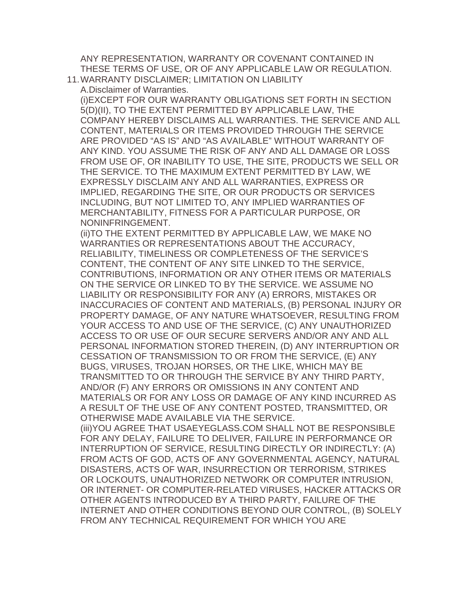ANY REPRESENTATION, WARRANTY OR COVENANT CONTAINED IN THESE TERMS OF USE, OR OF ANY APPLICABLE LAW OR REGULATION. 11.WARRANTY DISCLAIMER; LIMITATION ON LIABILITY

A.Disclaimer of Warranties.

(i)EXCEPT FOR OUR WARRANTY OBLIGATIONS SET FORTH IN SECTION 5(D)(II), TO THE EXTENT PERMITTED BY APPLICABLE LAW, THE COMPANY HEREBY DISCLAIMS ALL WARRANTIES. THE SERVICE AND ALL CONTENT, MATERIALS OR ITEMS PROVIDED THROUGH THE SERVICE ARE PROVIDED "AS IS" AND "AS AVAILABLE" WITHOUT WARRANTY OF ANY KIND. YOU ASSUME THE RISK OF ANY AND ALL DAMAGE OR LOSS FROM USE OF, OR INABILITY TO USE, THE SITE, PRODUCTS WE SELL OR THE SERVICE. TO THE MAXIMUM EXTENT PERMITTED BY LAW, WE EXPRESSLY DISCLAIM ANY AND ALL WARRANTIES, EXPRESS OR IMPLIED, REGARDING THE SITE, OR OUR PRODUCTS OR SERVICES INCLUDING, BUT NOT LIMITED TO, ANY IMPLIED WARRANTIES OF MERCHANTABILITY, FITNESS FOR A PARTICULAR PURPOSE, OR NONINFRINGEMENT.

(ii)TO THE EXTENT PERMITTED BY APPLICABLE LAW, WE MAKE NO WARRANTIES OR REPRESENTATIONS ABOUT THE ACCURACY, RELIABILITY, TIMELINESS OR COMPLETENESS OF THE SERVICE'S CONTENT, THE CONTENT OF ANY SITE LINKED TO THE SERVICE, CONTRIBUTIONS, INFORMATION OR ANY OTHER ITEMS OR MATERIALS ON THE SERVICE OR LINKED TO BY THE SERVICE. WE ASSUME NO LIABILITY OR RESPONSIBILITY FOR ANY (A) ERRORS, MISTAKES OR INACCURACIES OF CONTENT AND MATERIALS, (B) PERSONAL INJURY OR PROPERTY DAMAGE, OF ANY NATURE WHATSOEVER, RESULTING FROM YOUR ACCESS TO AND USE OF THE SERVICE, (C) ANY UNAUTHORIZED ACCESS TO OR USE OF OUR SECURE SERVERS AND/OR ANY AND ALL PERSONAL INFORMATION STORED THEREIN, (D) ANY INTERRUPTION OR CESSATION OF TRANSMISSION TO OR FROM THE SERVICE, (E) ANY BUGS, VIRUSES, TROJAN HORSES, OR THE LIKE, WHICH MAY BE TRANSMITTED TO OR THROUGH THE SERVICE BY ANY THIRD PARTY, AND/OR (F) ANY ERRORS OR OMISSIONS IN ANY CONTENT AND MATERIALS OR FOR ANY LOSS OR DAMAGE OF ANY KIND INCURRED AS A RESULT OF THE USE OF ANY CONTENT POSTED, TRANSMITTED, OR OTHERWISE MADE AVAILABLE VIA THE SERVICE. (iii)YOU AGREE THAT USAEYEGLASS.COM SHALL NOT BE RESPONSIBLE FOR ANY DELAY, FAILURE TO DELIVER, FAILURE IN PERFORMANCE OR INTERRUPTION OF SERVICE, RESULTING DIRECTLY OR INDIRECTLY: (A) FROM ACTS OF GOD, ACTS OF ANY GOVERNMENTAL AGENCY, NATURAL DISASTERS, ACTS OF WAR, INSURRECTION OR TERRORISM, STRIKES OR LOCKOUTS, UNAUTHORIZED NETWORK OR COMPUTER INTRUSION,

OR INTERNET- OR COMPUTER-RELATED VIRUSES, HACKER ATTACKS OR OTHER AGENTS INTRODUCED BY A THIRD PARTY, FAILURE OF THE INTERNET AND OTHER CONDITIONS BEYOND OUR CONTROL, (B) SOLELY FROM ANY TECHNICAL REQUIREMENT FOR WHICH YOU ARE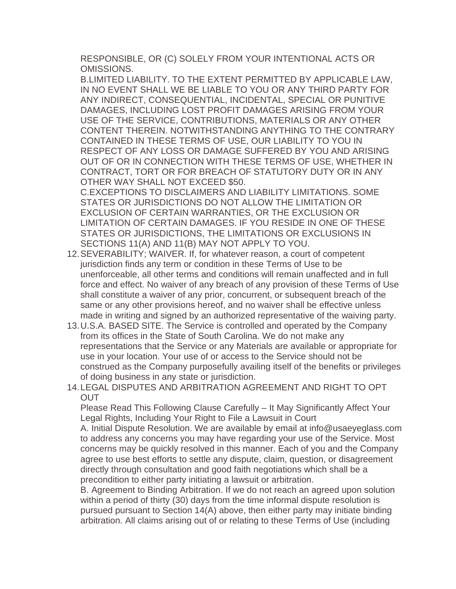RESPONSIBLE, OR (C) SOLELY FROM YOUR INTENTIONAL ACTS OR OMISSIONS.

B.LIMITED LIABILITY. TO THE EXTENT PERMITTED BY APPLICABLE LAW, IN NO EVENT SHALL WE BE LIABLE TO YOU OR ANY THIRD PARTY FOR ANY INDIRECT, CONSEQUENTIAL, INCIDENTAL, SPECIAL OR PUNITIVE DAMAGES, INCLUDING LOST PROFIT DAMAGES ARISING FROM YOUR USE OF THE SERVICE, CONTRIBUTIONS, MATERIALS OR ANY OTHER CONTENT THEREIN. NOTWITHSTANDING ANYTHING TO THE CONTRARY CONTAINED IN THESE TERMS OF USE, OUR LIABILITY TO YOU IN RESPECT OF ANY LOSS OR DAMAGE SUFFERED BY YOU AND ARISING OUT OF OR IN CONNECTION WITH THESE TERMS OF USE, WHETHER IN CONTRACT, TORT OR FOR BREACH OF STATUTORY DUTY OR IN ANY OTHER WAY SHALL NOT EXCEED \$50.

C.EXCEPTIONS TO DISCLAIMERS AND LIABILITY LIMITATIONS. SOME STATES OR JURISDICTIONS DO NOT ALLOW THE LIMITATION OR EXCLUSION OF CERTAIN WARRANTIES, OR THE EXCLUSION OR LIMITATION OF CERTAIN DAMAGES. IF YOU RESIDE IN ONE OF THESE STATES OR JURISDICTIONS, THE LIMITATIONS OR EXCLUSIONS IN SECTIONS 11(A) AND 11(B) MAY NOT APPLY TO YOU.

- 12.SEVERABILITY; WAIVER. If, for whatever reason, a court of competent jurisdiction finds any term or condition in these Terms of Use to be unenforceable, all other terms and conditions will remain unaffected and in full force and effect. No waiver of any breach of any provision of these Terms of Use shall constitute a waiver of any prior, concurrent, or subsequent breach of the same or any other provisions hereof, and no waiver shall be effective unless made in writing and signed by an authorized representative of the waiving party.
- 13.U.S.A. BASED SITE. The Service is controlled and operated by the Company from its offices in the State of South Carolina. We do not make any representations that the Service or any Materials are available or appropriate for use in your location. Your use of or access to the Service should not be construed as the Company purposefully availing itself of the benefits or privileges of doing business in any state or jurisdiction.
- 14.LEGAL DISPUTES AND ARBITRATION AGREEMENT AND RIGHT TO OPT **OUT**

Please Read This Following Clause Carefully – It May Significantly Affect Your Legal Rights, Including Your Right to File a Lawsuit in Court

A. Initial Dispute Resolution. We are available by email at info@usaeyeglass.com to address any concerns you may have regarding your use of the Service. Most concerns may be quickly resolved in this manner. Each of you and the Company agree to use best efforts to settle any dispute, claim, question, or disagreement directly through consultation and good faith negotiations which shall be a precondition to either party initiating a lawsuit or arbitration.

B. Agreement to Binding Arbitration. If we do not reach an agreed upon solution within a period of thirty (30) days from the time informal dispute resolution is pursued pursuant to Section 14(A) above, then either party may initiate binding arbitration. All claims arising out of or relating to these Terms of Use (including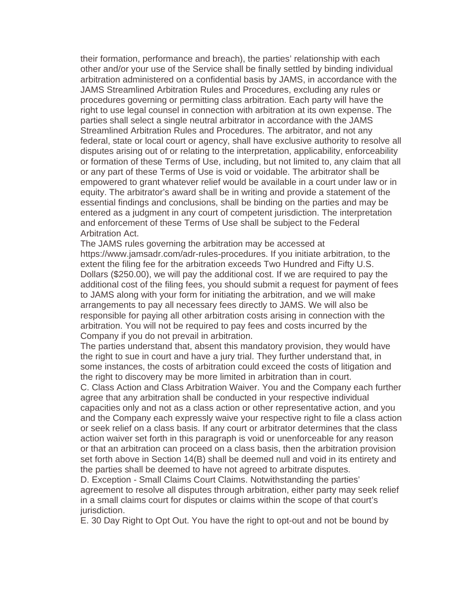their formation, performance and breach), the parties' relationship with each other and/or your use of the Service shall be finally settled by binding individual arbitration administered on a confidential basis by JAMS, in accordance with the JAMS Streamlined Arbitration Rules and Procedures, excluding any rules or procedures governing or permitting class arbitration. Each party will have the right to use legal counsel in connection with arbitration at its own expense. The parties shall select a single neutral arbitrator in accordance with the JAMS Streamlined Arbitration Rules and Procedures. The arbitrator, and not any federal, state or local court or agency, shall have exclusive authority to resolve all disputes arising out of or relating to the interpretation, applicability, enforceability or formation of these Terms of Use, including, but not limited to, any claim that all or any part of these Terms of Use is void or voidable. The arbitrator shall be empowered to grant whatever relief would be available in a court under law or in equity. The arbitrator's award shall be in writing and provide a statement of the essential findings and conclusions, shall be binding on the parties and may be entered as a judgment in any court of competent jurisdiction. The interpretation and enforcement of these Terms of Use shall be subject to the Federal Arbitration Act.

The JAMS rules governing the arbitration may be accessed at https://www.jamsadr.com/adr-rules-procedures. If you initiate arbitration, to the extent the filing fee for the arbitration exceeds Two Hundred and Fifty U.S. Dollars (\$250.00), we will pay the additional cost. If we are required to pay the additional cost of the filing fees, you should submit a request for payment of fees to JAMS along with your form for initiating the arbitration, and we will make arrangements to pay all necessary fees directly to JAMS. We will also be responsible for paying all other arbitration costs arising in connection with the arbitration. You will not be required to pay fees and costs incurred by the Company if you do not prevail in arbitration.

The parties understand that, absent this mandatory provision, they would have the right to sue in court and have a jury trial. They further understand that, in some instances, the costs of arbitration could exceed the costs of litigation and the right to discovery may be more limited in arbitration than in court.

C. Class Action and Class Arbitration Waiver. You and the Company each further agree that any arbitration shall be conducted in your respective individual capacities only and not as a class action or other representative action, and you and the Company each expressly waive your respective right to file a class action or seek relief on a class basis. If any court or arbitrator determines that the class action waiver set forth in this paragraph is void or unenforceable for any reason or that an arbitration can proceed on a class basis, then the arbitration provision set forth above in Section 14(B) shall be deemed null and void in its entirety and the parties shall be deemed to have not agreed to arbitrate disputes.

D. Exception - Small Claims Court Claims. Notwithstanding the parties' agreement to resolve all disputes through arbitration, either party may seek relief in a small claims court for disputes or claims within the scope of that court's jurisdiction.

E. 30 Day Right to Opt Out. You have the right to opt-out and not be bound by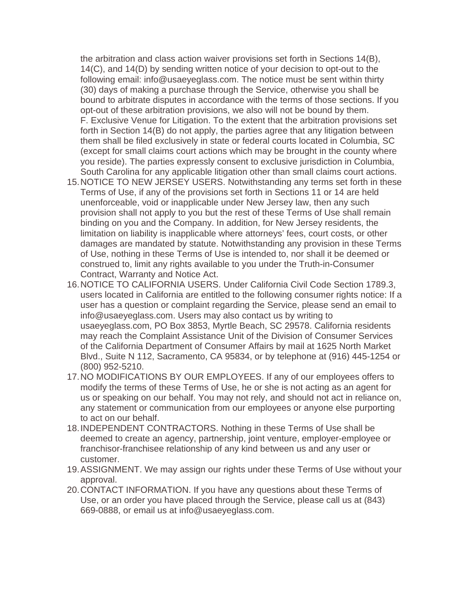the arbitration and class action waiver provisions set forth in Sections 14(B), 14(C), and 14(D) by sending written notice of your decision to opt-out to the following email: info@usaeyeglass.com. The notice must be sent within thirty (30) days of making a purchase through the Service, otherwise you shall be bound to arbitrate disputes in accordance with the terms of those sections. If you opt-out of these arbitration provisions, we also will not be bound by them. F. Exclusive Venue for Litigation. To the extent that the arbitration provisions set forth in Section 14(B) do not apply, the parties agree that any litigation between them shall be filed exclusively in state or federal courts located in Columbia, SC (except for small claims court actions which may be brought in the county where you reside). The parties expressly consent to exclusive jurisdiction in Columbia, South Carolina for any applicable litigation other than small claims court actions.

- 15.NOTICE TO NEW JERSEY USERS. Notwithstanding any terms set forth in these Terms of Use, if any of the provisions set forth in Sections 11 or 14 are held unenforceable, void or inapplicable under New Jersey law, then any such provision shall not apply to you but the rest of these Terms of Use shall remain binding on you and the Company. In addition, for New Jersey residents, the limitation on liability is inapplicable where attorneys' fees, court costs, or other damages are mandated by statute. Notwithstanding any provision in these Terms of Use, nothing in these Terms of Use is intended to, nor shall it be deemed or construed to, limit any rights available to you under the Truth-in-Consumer Contract, Warranty and Notice Act.
- 16.NOTICE TO CALIFORNIA USERS. Under California Civil Code Section 1789.3, users located in California are entitled to the following consumer rights notice: If a user has a question or complaint regarding the Service, please send an email to info@usaeyeglass.com. Users may also contact us by writing to usaeyeglass.com, PO Box 3853, Myrtle Beach, SC 29578. California residents may reach the Complaint Assistance Unit of the Division of Consumer Services of the California Department of Consumer Affairs by mail at 1625 North Market Blvd., Suite N 112, Sacramento, CA 95834, or by telephone at (916) 445-1254 or (800) 952-5210.
- 17.NO MODIFICATIONS BY OUR EMPLOYEES. If any of our employees offers to modify the terms of these Terms of Use, he or she is not acting as an agent for us or speaking on our behalf. You may not rely, and should not act in reliance on, any statement or communication from our employees or anyone else purporting to act on our behalf.
- 18.INDEPENDENT CONTRACTORS. Nothing in these Terms of Use shall be deemed to create an agency, partnership, joint venture, employer-employee or franchisor-franchisee relationship of any kind between us and any user or customer.
- 19.ASSIGNMENT. We may assign our rights under these Terms of Use without your approval.
- 20.CONTACT INFORMATION. If you have any questions about these Terms of Use, or an order you have placed through the Service, please call us at (843) 669-0888, or email us at info@usaeyeglass.com.